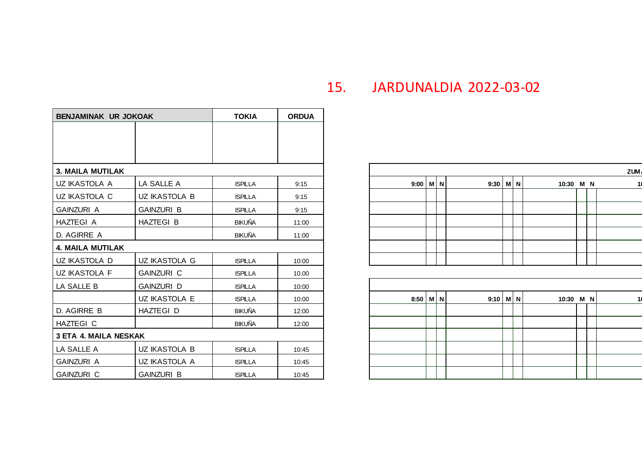| <b>BENJAMINAK UR JOKOAK</b>  |                      | <b>TOKIA</b>   | <b>ORDUA</b> |  |  |  |  |
|------------------------------|----------------------|----------------|--------------|--|--|--|--|
|                              |                      |                |              |  |  |  |  |
|                              |                      |                |              |  |  |  |  |
|                              |                      |                |              |  |  |  |  |
| <b>3. MAILA MUTILAK</b>      |                      |                |              |  |  |  |  |
| UZ IKASTOLA A                | LA SALLE A           | <b>ISPILLA</b> | 9:15         |  |  |  |  |
| UZ IKASTOLA C                | <b>UZ IKASTOLA B</b> | <b>ISPILLA</b> | 9:15         |  |  |  |  |
| <b>GAINZURI A</b>            | <b>GAINZURI B</b>    | <b>ISPILLA</b> | 9:15         |  |  |  |  |
| <b>HAZTEGIA</b>              | HAZTEGI B            | <b>BIKUÑA</b>  | 11:00        |  |  |  |  |
| D. AGIRRE A                  |                      | <b>BIKUÑA</b>  | 11:00        |  |  |  |  |
| <b>4. MAILA MUTILAK</b>      |                      |                |              |  |  |  |  |
| UZ IKASTOLA D                | UZ IKASTOLA G        | <b>ISPILLA</b> | 10:00        |  |  |  |  |
| UZ IKASTOLA F                | <b>GAINZURI C</b>    | <b>ISPILLA</b> | 10.00        |  |  |  |  |
| LA SALLE B                   | GAINZURI D           | <b>ISPILLA</b> | 10:00        |  |  |  |  |
|                              | UZ IKASTOLA E        | <b>ISPILLA</b> | 10:00        |  |  |  |  |
| D. AGIRRE B                  | HAZTEGI D            | <b>BIKUÑA</b>  | 12:00        |  |  |  |  |
| HAZTEGI C                    |                      | <b>BIKUÑA</b>  | 12:00        |  |  |  |  |
| <b>3 ETA 4. MAILA NESKAK</b> |                      |                |              |  |  |  |  |
| LA SALLE A                   | UZ IKASTOLA B        | <b>ISPILLA</b> | 10:45        |  |  |  |  |
| <b>GAINZURI A</b>            | UZ IKASTOLA A        | <b>ISPILLA</b> | 10:45        |  |  |  |  |
| <b>GAINZURI C</b>            | <b>GAINZURI B</b>    | <b>ISPILLA</b> | 10:45        |  |  |  |  |

## 15. JARDUNALDIA 2022-03-02

| 3. MAILA MUTILAK |                   |                |       |
|------------------|-------------------|----------------|-------|
| UZ IKASTOLA A    | LA SALLE A        | <b>ISPILLA</b> | 9:15  |
| UZ IKASTOLA C    | UZ IKASTOLA B     | <b>ISPILLA</b> | 9:15  |
| GAINZURI A       | <b>GAINZURI B</b> | <b>ISPILLA</b> | 9:15  |
| HAZTEGI A        | <b>HAZTEGI B</b>  | <b>BIKUÑA</b>  | 11:00 |
| D. AGIRRE A      |                   | <b>BIKUÑA</b>  | 11:00 |
| 4. MAILA MUTILAK |                   |                |       |
| UZ IKASTOLA D    | UZ IKASTOLA G     | <b>ISPILLA</b> | 10:00 |
|                  |                   |                |       |

| GAINZURI D    | <b>ISPILLA</b> | 10:00 |            |  |            |  |           |  |
|---------------|----------------|-------|------------|--|------------|--|-----------|--|
| UZ IKASTOLA E | <b>ISPILLA</b> | 10:00 | $8:50$ M N |  | $9:10$ M N |  | 10:30 M N |  |
| HAZTEGI D     | BIKUÑA         | 12:00 |            |  |            |  |           |  |
|               | BIKUÑA         | 12:00 |            |  |            |  |           |  |
| v             |                |       |            |  |            |  |           |  |
| UZ IKASTOLA B | <b>ISPILLA</b> | 10:45 |            |  |            |  |           |  |
| UZ IKASTOLA A | <b>ISPILLA</b> | 10:45 |            |  |            |  |           |  |
| GAINZURI B    | <b>ISPILLA</b> | 10:45 |            |  |            |  |           |  |